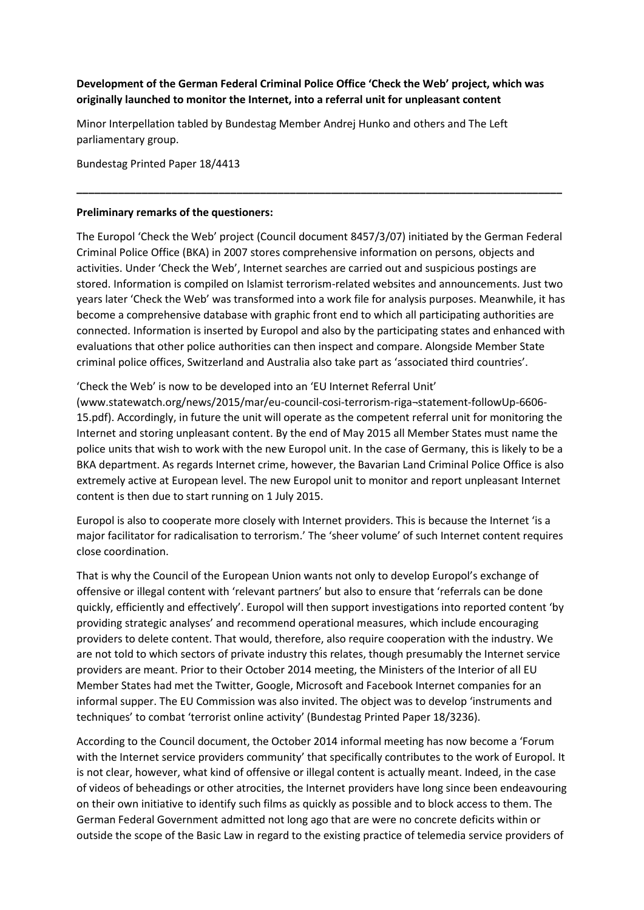# **Development of the German Federal Criminal Police Office 'Check the Web' project, which was originally launched to monitor the Internet, into a referral unit for unpleasant content**

Minor Interpellation tabled by Bundestag Member Andrej Hunko and others and The Left parliamentary group.

Bundestag Printed Paper 18/4413

#### **Preliminary remarks of the questioners:**

The Europol 'Check the Web' project (Council document 8457/3/07) initiated by the German Federal Criminal Police Office (BKA) in 2007 stores comprehensive information on persons, objects and activities. Under 'Check the Web', Internet searches are carried out and suspicious postings are stored. Information is compiled on Islamist terrorism-related websites and announcements. Just two years later 'Check the Web' was transformed into a work file for analysis purposes. Meanwhile, it has become a comprehensive database with graphic front end to which all participating authorities are connected. Information is inserted by Europol and also by the participating states and enhanced with evaluations that other police authorities can then inspect and compare. Alongside Member State criminal police offices, Switzerland and Australia also take part as 'associated third countries'.

**\_\_\_\_\_\_\_\_\_\_\_\_\_\_\_\_\_\_\_\_\_\_\_\_\_\_\_\_\_\_\_\_\_\_\_\_\_\_\_\_\_\_\_\_\_\_\_\_\_\_\_\_\_\_\_\_\_\_\_\_\_\_\_\_\_\_\_\_\_\_\_\_\_\_\_\_\_\_\_\_\_\_**

'Check the Web' is now to be developed into an 'EU Internet Referral Unit' (www.statewatch.org/news/2015/mar/eu-council-cosi-terrorism-riga¬statement-followUp-6606- 15.pdf). Accordingly, in future the unit will operate as the competent referral unit for monitoring the Internet and storing unpleasant content. By the end of May 2015 all Member States must name the police units that wish to work with the new Europol unit. In the case of Germany, this is likely to be a BKA department. As regards Internet crime, however, the Bavarian Land Criminal Police Office is also extremely active at European level. The new Europol unit to monitor and report unpleasant Internet content is then due to start running on 1 July 2015.

Europol is also to cooperate more closely with Internet providers. This is because the Internet 'is a major facilitator for radicalisation to terrorism.' The 'sheer volume' of such Internet content requires close coordination.

That is why the Council of the European Union wants not only to develop Europol's exchange of offensive or illegal content with 'relevant partners' but also to ensure that 'referrals can be done quickly, efficiently and effectively'. Europol will then support investigations into reported content 'by providing strategic analyses' and recommend operational measures, which include encouraging providers to delete content. That would, therefore, also require cooperation with the industry. We are not told to which sectors of private industry this relates, though presumably the Internet service providers are meant. Prior to their October 2014 meeting, the Ministers of the Interior of all EU Member States had met the Twitter, Google, Microsoft and Facebook Internet companies for an informal supper. The EU Commission was also invited. The object was to develop 'instruments and techniques' to combat 'terrorist online activity' (Bundestag Printed Paper 18/3236).

According to the Council document, the October 2014 informal meeting has now become a 'Forum with the Internet service providers community' that specifically contributes to the work of Europol. It is not clear, however, what kind of offensive or illegal content is actually meant. Indeed, in the case of videos of beheadings or other atrocities, the Internet providers have long since been endeavouring on their own initiative to identify such films as quickly as possible and to block access to them. The German Federal Government admitted not long ago that are were no concrete deficits within or outside the scope of the Basic Law in regard to the existing practice of telemedia service providers of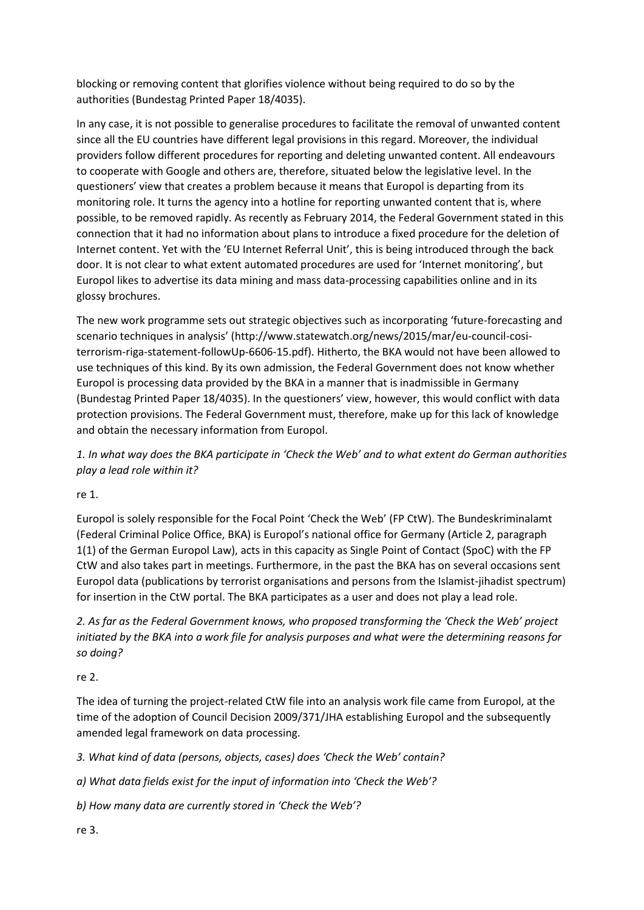blocking or removing content that glorifies violence without being required to do so by the authorities (Bundestag Printed Paper 18/4035).

In any case, it is not possible to generalise procedures to facilitate the removal of unwanted content since all the EU countries have different legal provisions in this regard. Moreover, the individual providers follow different procedures for reporting and deleting unwanted content. All endeavours to cooperate with Google and others are, therefore, situated below the legislative level. In the questioners' view that creates a problem because it means that Europol is departing from its monitoring role. It turns the agency into a hotline for reporting unwanted content that is, where possible, to be removed rapidly. As recently as February 2014, the Federal Government stated in this connection that it had no information about plans to introduce a fixed procedure for the deletion of Internet content. Yet with the 'EU Internet Referral Unit', this is being introduced through the back door. It is not clear to what extent automated procedures are used for 'Internet monitoring', but Europol likes to advertise its data mining and mass data-processing capabilities online and in its glossy brochures.

The new work programme sets out strategic objectives such as incorporating 'future-forecasting and scenario techniques in analysis' (http://www.statewatch.org/news/2015/mar/eu-council-cositerrorism-riga-statement-followUp-6606-15.pdf). Hitherto, the BKA would not have been allowed to use techniques of this kind. By its own admission, the Federal Government does not know whether Europol is processing data provided by the BKA in a manner that is inadmissible in Germany (Bundestag Printed Paper 18/4035). In the questioners' view, however, this would conflict with data protection provisions. The Federal Government must, therefore, make up for this lack of knowledge and obtain the necessary information from Europol.

*1. In what way does the BKA participate in 'Check the Web' and to what extent do German authorities play a lead role within it?*

re 1.

Europol is solely responsible for the Focal Point 'Check the Web' (FP CtW). The Bundeskriminalamt (Federal Criminal Police Office, BKA) is Europol's national office for Germany (Article 2, paragraph 1(1) of the German Europol Law), acts in this capacity as Single Point of Contact (SpoC) with the FP CtW and also takes part in meetings. Furthermore, in the past the BKA has on several occasions sent Europol data (publications by terrorist organisations and persons from the Islamist-jihadist spectrum) for insertion in the CtW portal. The BKA participates as a user and does not play a lead role.

*2. As far as the Federal Government knows, who proposed transforming the 'Check the Web' project initiated by the BKA into a work file for analysis purposes and what were the determining reasons for so doing?*

re 2.

The idea of turning the project-related CtW file into an analysis work file came from Europol, at the time of the adoption of Council Decision 2009/371/JHA establishing Europol and the subsequently amended legal framework on data processing.

*3. What kind of data (persons, objects, cases) does 'Check the Web' contain?*

*a) What data fields exist for the input of information into 'Check the Web'?*

*b) How many data are currently stored in 'Check the Web'?*

re 3.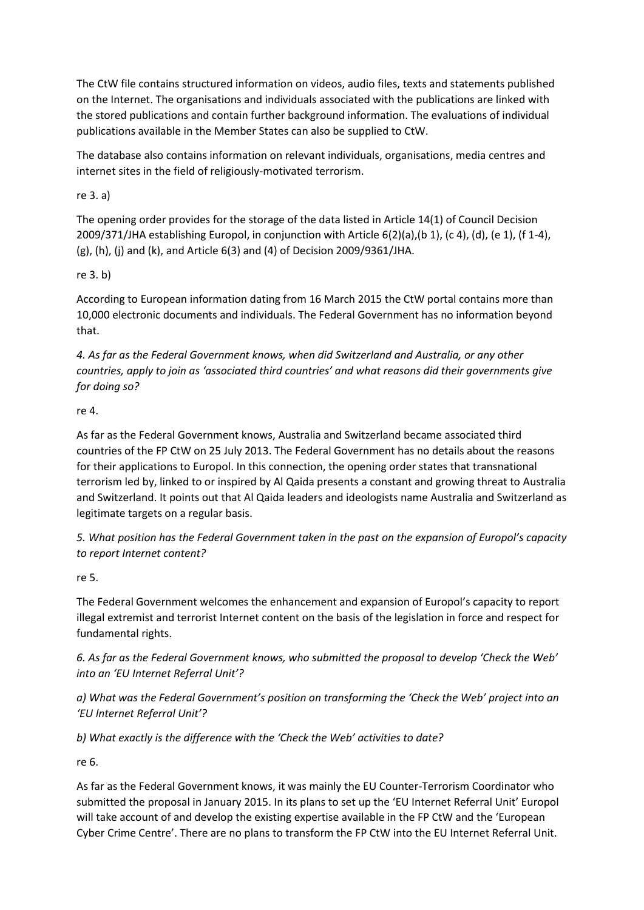The CtW file contains structured information on videos, audio files, texts and statements published on the Internet. The organisations and individuals associated with the publications are linked with the stored publications and contain further background information. The evaluations of individual publications available in the Member States can also be supplied to CtW.

The database also contains information on relevant individuals, organisations, media centres and internet sites in the field of religiously-motivated terrorism.

re 3. a)

The opening order provides for the storage of the data listed in Article 14(1) of Council Decision 2009/371/JHA establishing Europol, in conjunction with Article 6(2)(a),(b 1), (c 4), (d), (e 1), (f 1-4), (g), (h), (j) and (k), and Article 6(3) and (4) of Decision 2009/9361/JHA.

# re 3. b)

According to European information dating from 16 March 2015 the CtW portal contains more than 10,000 electronic documents and individuals. The Federal Government has no information beyond that.

*4. As far as the Federal Government knows, when did Switzerland and Australia, or any other countries, apply to join as 'associated third countries' and what reasons did their governments give for doing so?*

# re 4.

As far as the Federal Government knows, Australia and Switzerland became associated third countries of the FP CtW on 25 July 2013. The Federal Government has no details about the reasons for their applications to Europol. In this connection, the opening order states that transnational terrorism led by, linked to or inspired by Al Qaida presents a constant and growing threat to Australia and Switzerland. It points out that Al Qaida leaders and ideologists name Australia and Switzerland as legitimate targets on a regular basis.

*5. What position has the Federal Government taken in the past on the expansion of Europol's capacity to report Internet content?*

re 5.

The Federal Government welcomes the enhancement and expansion of Europol's capacity to report illegal extremist and terrorist Internet content on the basis of the legislation in force and respect for fundamental rights.

*6. As far as the Federal Government knows, who submitted the proposal to develop 'Check the Web' into an 'EU Internet Referral Unit'?*

*a) What was the Federal Government's position on transforming the 'Check the Web' project into an 'EU lnternet Referral Unit'?*

*b) What exactly is the difference with the 'Check the Web' activities to date?*

re 6.

As far as the Federal Government knows, it was mainly the EU Counter-Terrorism Coordinator who submitted the proposal in January 2015. In its plans to set up the 'EU Internet Referral Unit' Europol will take account of and develop the existing expertise available in the FP CtW and the 'European Cyber Crime Centre'. There are no plans to transform the FP CtW into the EU Internet Referral Unit.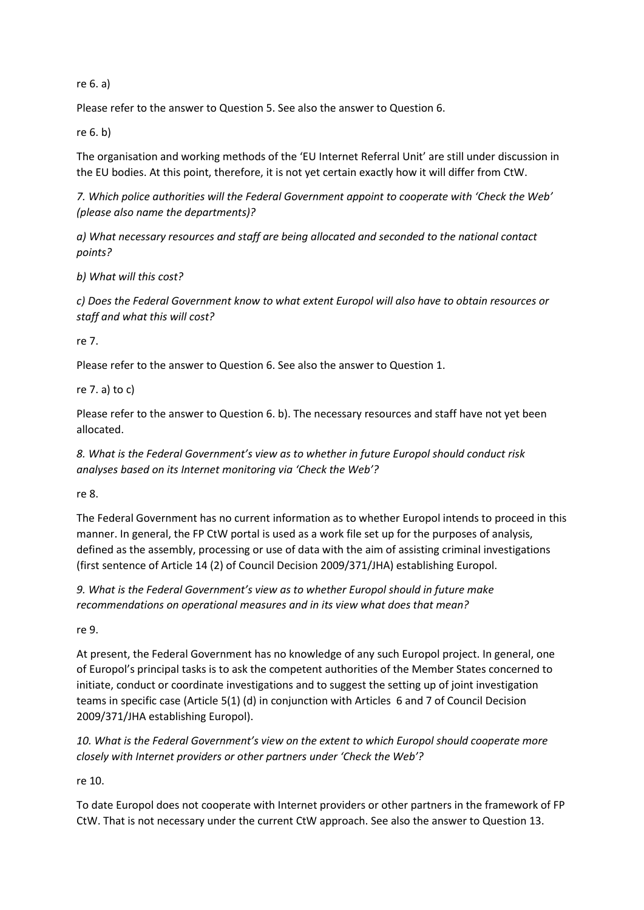re 6. a)

Please refer to the answer to Question 5. See also the answer to Question 6.

re 6. b)

The organisation and working methods of the 'EU Internet Referral Unit' are still under discussion in the EU bodies. At this point, therefore, it is not yet certain exactly how it will differ from CtW.

*7. Which police authorities will the Federal Government appoint to cooperate with 'Check the Web' (please also name the departments)?*

*a) What necessary resources and staff are being allocated and seconded to the national contact points?*

*b) What will this cost?*

*c) Does the Federal Government know to what extent Europol will also have to obtain resources or staff and what this will cost?*

re 7.

Please refer to the answer to Question 6. See also the answer to Question 1.

re 7. a) to c)

Please refer to the answer to Question 6. b). The necessary resources and staff have not yet been allocated.

*8. What is the Federal Government's view as to whether in future Europol should conduct risk analyses based on its Internet monitoring via 'Check the Web'?*

re 8.

The Federal Government has no current information as to whether Europol intends to proceed in this manner. In general, the FP CtW portal is used as a work file set up for the purposes of analysis, defined as the assembly, processing or use of data with the aim of assisting criminal investigations (first sentence of Article 14 (2) of Council Decision 2009/371/JHA) establishing Europol.

*9. What is the Federal Government's view as to whether Europol should in future make recommendations on operational measures and in its view what does that mean?*

re 9.

At present, the Federal Government has no knowledge of any such Europol project. In general, one of Europol's principal tasks is to ask the competent authorities of the Member States concerned to initiate, conduct or coordinate investigations and to suggest the setting up of joint investigation teams in specific case (Article 5(1) (d) in conjunction with Articles 6 and 7 of Council Decision 2009/371/JHA establishing Europol).

*10. What is the Federal Government's view on the extent to which Europol should cooperate more closely with Internet providers or other partners under 'Check the Web'?*

re 10.

To date Europol does not cooperate with Internet providers or other partners in the framework of FP CtW. That is not necessary under the current CtW approach. See also the answer to Question 13.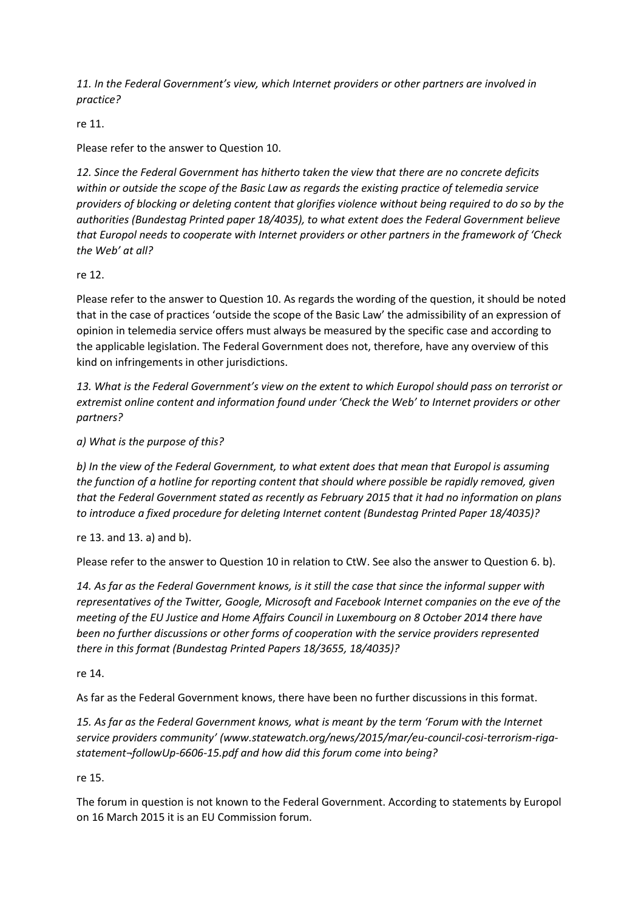*11. In the Federal Government's view, which Internet providers or other partners are involved in practice?*

re 11.

Please refer to the answer to Question 10.

*12. Since the Federal Government has hitherto taken the view that there are no concrete deficits within or outside the scope of the Basic Law as regards the existing practice of telemedia service providers of blocking or deleting content that glorifies violence without being required to do so by the authorities (Bundestag Printed paper 18/4035), to what extent does the Federal Government believe that Europol needs to cooperate with Internet providers or other partners in the framework of 'Check the Web' at all?*

re 12.

Please refer to the answer to Question 10. As regards the wording of the question, it should be noted that in the case of practices 'outside the scope of the Basic Law' the admissibility of an expression of opinion in telemedia service offers must always be measured by the specific case and according to the applicable legislation. The Federal Government does not, therefore, have any overview of this kind on infringements in other jurisdictions.

*13. What is the Federal Government's view on the extent to which Europol should pass on terrorist or extremist online content and information found under 'Check the Web' to Internet providers or other partners?*

# *a) What is the purpose of this?*

*b) In the view of the Federal Government, to what extent does that mean that Europol is assuming the function of a hotline for reporting content that should where possible be rapidly removed, given that the Federal Government stated as recently as February 2015 that it had no information on plans to introduce a fixed procedure for deleting Internet content (Bundestag Printed Paper 18/4035)?*

## re 13. and 13. a) and b).

Please refer to the answer to Question 10 in relation to CtW. See also the answer to Question 6. b).

*14. As far as the Federal Government knows, is it still the case that since the informal supper with representatives of the Twitter, Google, Microsoft and Facebook Internet companies on the eve of the meeting of the EU Justice and Home Affairs Council in Luxembourg on 8 October 2014 there have been no further discussions or other forms of cooperation with the service providers represented there in this format (Bundestag Printed Papers 18/3655, 18/4035)?*

re 14.

As far as the Federal Government knows, there have been no further discussions in this format.

*15. As far as the Federal Government knows, what is meant by the term 'Forum with the Internet service providers community' (www.statewatch.org/news/2015/mar/eu-council-cosi-terrorism-rigastatement¬followUp-6606-15.pdf and how did this forum come into being?*

re 15.

The forum in question is not known to the Federal Government. According to statements by Europol on 16 March 2015 it is an EU Commission forum.